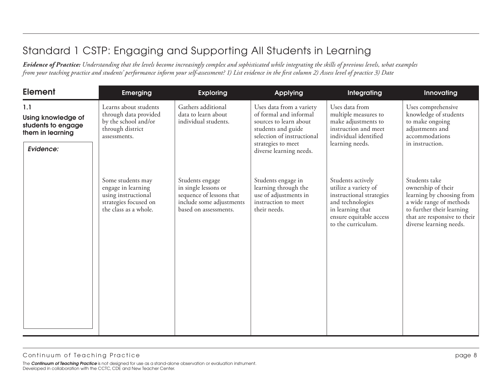| <b>Element</b>                                                                   | <b>Emerging</b>                                                                                                  | <b>Exploring</b>                                                                                                         | Applying                                                                                                                                                                          | Integrating                                                                                                                                                    | Innovating                                                                                                                                                                          |
|----------------------------------------------------------------------------------|------------------------------------------------------------------------------------------------------------------|--------------------------------------------------------------------------------------------------------------------------|-----------------------------------------------------------------------------------------------------------------------------------------------------------------------------------|----------------------------------------------------------------------------------------------------------------------------------------------------------------|-------------------------------------------------------------------------------------------------------------------------------------------------------------------------------------|
| 1.1<br>Using knowledge of<br>students to engage<br>them in learning<br>Evidence: | Learns about students<br>through data provided<br>by the school and/or<br>through district<br>assessments.       | Gathers additional<br>data to learn about<br>individual students.                                                        | Uses data from a variety<br>of formal and informal<br>sources to learn about<br>students and guide<br>selection of instructional<br>strategies to meet<br>diverse learning needs. | Uses data from<br>multiple measures to<br>make adjustments to<br>instruction and meet<br>individual identified<br>learning needs.                              | Uses comprehensive<br>knowledge of students<br>to make ongoing<br>adjustments and<br>accommodations<br>in instruction.                                                              |
|                                                                                  | Some students may<br>engage in learning<br>using instructional<br>strategies focused on<br>the class as a whole. | Students engage<br>in single lessons or<br>sequence of lessons that<br>include some adjustments<br>based on assessments. | Students engage in<br>learning through the<br>use of adjustments in<br>instruction to meet<br>their needs.                                                                        | Students actively<br>utilize a variety of<br>instructional strategies<br>and technologies<br>in learning that<br>ensure equitable access<br>to the curriculum. | Students take<br>ownership of their<br>learning by choosing from<br>a wide range of methods<br>to further their learning<br>that are responsive to their<br>diverse learning needs. |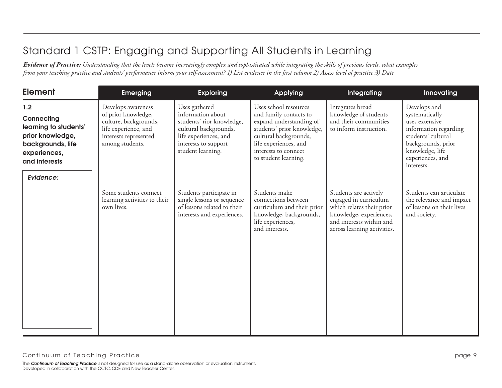| <b>Element</b>                                                                                                                    | <b>Emerging</b>                                                                                                                        | <b>Exploring</b>                                                                                                                                               | Applying                                                                                                                                                                                                   | Integrating                                                                                                                                                       | Innovating                                                                                                                                                                 |
|-----------------------------------------------------------------------------------------------------------------------------------|----------------------------------------------------------------------------------------------------------------------------------------|----------------------------------------------------------------------------------------------------------------------------------------------------------------|------------------------------------------------------------------------------------------------------------------------------------------------------------------------------------------------------------|-------------------------------------------------------------------------------------------------------------------------------------------------------------------|----------------------------------------------------------------------------------------------------------------------------------------------------------------------------|
| 1.2<br>Connecting<br>learning to students'<br>prior knowledge,<br>backgrounds, life<br>experiences,<br>and interests<br>Evidence: | Develops awareness<br>of prior knowledge,<br>culture, backgrounds,<br>life experience, and<br>interests represented<br>among students. | Uses gathered<br>information about<br>students' rior knowledge,<br>cultural backgrounds,<br>life experiences, and<br>interests to support<br>student learning. | Uses school resources<br>and family contacts to<br>expand understanding of<br>students' prior knowledge,<br>cultural backgrounds,<br>life experiences, and<br>interests to connect<br>to student learning. | Integrates broad<br>knowledge of students<br>and their communities<br>to inform instruction.                                                                      | Develops and<br>systematically<br>uses extensive<br>information regarding<br>students' cultural<br>backgrounds, prior<br>knowledge, life<br>experiences, and<br>interests. |
|                                                                                                                                   | Some students connect<br>learning activities to their<br>own lives.                                                                    | Students participate in<br>single lessons or sequence<br>of lessons related to their<br>interests and experiences.                                             | Students make<br>connections between<br>curriculum and their prior<br>knowledge, backgrounds,<br>life experiences,<br>and interests.                                                                       | Students are actively<br>engaged in curriculum<br>which relates their prior<br>knowledge, experiences,<br>and interests within and<br>across learning activities. | Students can articulate<br>the relevance and impact<br>of lessons on their lives<br>and society.                                                                           |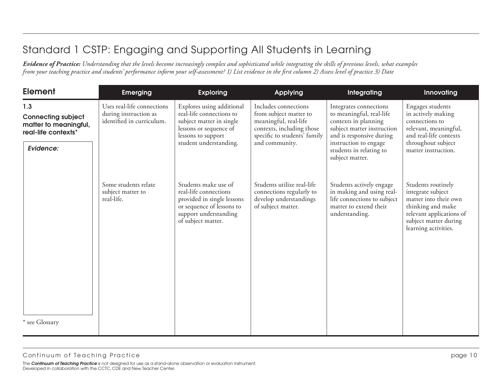| <b>Element</b>                                                                                | <b>Emerging</b>                                                                  | <b>Exploring</b>                                                                                                                                            | <b>Applying</b>                                                                                                                                        | Integrating                                                                                                                                                                                                 | Innovating                                                                                                                                                         |
|-----------------------------------------------------------------------------------------------|----------------------------------------------------------------------------------|-------------------------------------------------------------------------------------------------------------------------------------------------------------|--------------------------------------------------------------------------------------------------------------------------------------------------------|-------------------------------------------------------------------------------------------------------------------------------------------------------------------------------------------------------------|--------------------------------------------------------------------------------------------------------------------------------------------------------------------|
| 1.3<br><b>Connecting subject</b><br>matter to meaningful,<br>real-life contexts*<br>Evidence: | Uses real-life connections<br>during instruction as<br>identified in curriculum. | Explores using additional<br>real-life connections to<br>subject matter in single<br>lessons or sequence of<br>lessons to support<br>student understanding. | Includes connections<br>from subject matter to<br>meaningful, real-life<br>contexts, including those<br>specific to students' family<br>and community. | Integrates connections<br>to meaningful, real-life<br>contexts in planning<br>subject matter instruction<br>and is responsive during<br>instruction to engage<br>students in relating to<br>subject matter. | Engages students<br>in actively making<br>connections to<br>relevant, meaningful,<br>and real-life contexts<br>throughout subject<br>matter instruction.           |
| * see Glossary                                                                                | Some students relate<br>subject matter to<br>real-life.                          | Students make use of<br>real-life connections<br>provided in single lessons<br>or sequence of lessons to<br>support understanding<br>of subject matter.     | Students utilize real-life<br>connections regularly to<br>develop understandings<br>of subject matter.                                                 | Students actively engage<br>in making and using real-<br>life connections to subject<br>matter to extend their<br>understanding.                                                                            | Students routinely<br>integrate subject<br>matter into their own<br>thinking and make<br>relevant applications of<br>subject matter during<br>learning activities. |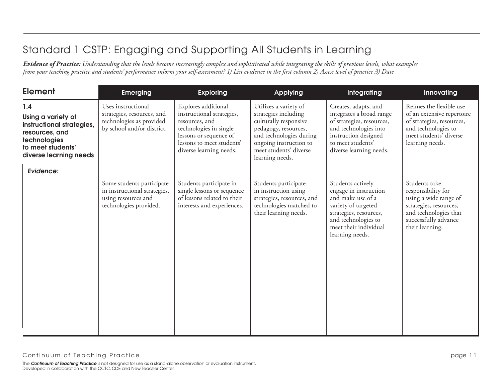| <b>Element</b>                                                                                                                          | <b>Emerging</b>                                                                                            | <b>Exploring</b>                                                                                                                                                               | <b>Applying</b>                                                                                                                                                                                  | Integrating                                                                                                                                                                         | Innovating                                                                                                                                                 |
|-----------------------------------------------------------------------------------------------------------------------------------------|------------------------------------------------------------------------------------------------------------|--------------------------------------------------------------------------------------------------------------------------------------------------------------------------------|--------------------------------------------------------------------------------------------------------------------------------------------------------------------------------------------------|-------------------------------------------------------------------------------------------------------------------------------------------------------------------------------------|------------------------------------------------------------------------------------------------------------------------------------------------------------|
| 1.4<br>Using a variety of<br>instructional strategies,<br>resources, and<br>technologies<br>to meet students'<br>diverse learning needs | Uses instructional<br>strategies, resources, and<br>technologies as provided<br>by school and/or district. | Explores additional<br>instructional strategies,<br>resources, and<br>technologies in single<br>lessons or sequence of<br>lessons to meet students'<br>diverse learning needs. | Utilizes a variety of<br>strategies including<br>culturally responsive<br>pedagogy, resources,<br>and technologies during<br>ongoing instruction to<br>meet students' diverse<br>learning needs. | Creates, adapts, and<br>integrates a broad range<br>of strategies, resources,<br>and technologies into<br>instruction designed<br>to meet students'<br>diverse learning needs.      | Refines the flexible use<br>of an extensive repertoire<br>of strategies, resources,<br>and technologies to<br>meet students' diverse<br>learning needs.    |
| Evidence:                                                                                                                               | Some students participate<br>in instructional strategies,<br>using resources and<br>technologies provided. | Students participate in<br>single lessons or sequence<br>of lessons related to their<br>interests and experiences.                                                             | Students participate<br>in instruction using<br>strategies, resources, and<br>technologies matched to<br>their learning needs.                                                                   | Students actively<br>engage in instruction<br>and make use of a<br>variety of targeted<br>strategies, resources,<br>and technologies to<br>meet their individual<br>learning needs. | Students take<br>responsibility for<br>using a wide range of<br>strategies, resources,<br>and technologies that<br>successfully advance<br>their learning. |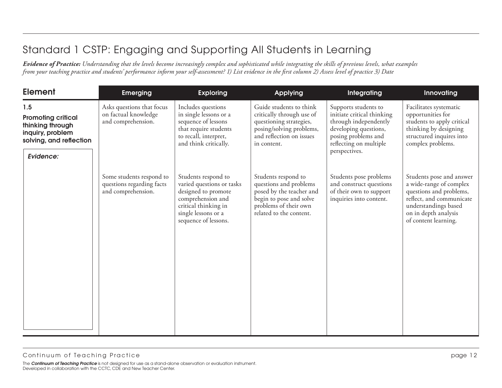| <b>Element</b>                                                                                                   | <b>Emerging</b>                                                             | <b>Exploring</b>                                                                                                                                                    | <b>Applying</b>                                                                                                                                          | Integrating                                                                                                                                                            | Innovating                                                                                                                                                                         |
|------------------------------------------------------------------------------------------------------------------|-----------------------------------------------------------------------------|---------------------------------------------------------------------------------------------------------------------------------------------------------------------|----------------------------------------------------------------------------------------------------------------------------------------------------------|------------------------------------------------------------------------------------------------------------------------------------------------------------------------|------------------------------------------------------------------------------------------------------------------------------------------------------------------------------------|
| 1.5<br><b>Promoting critical</b><br>thinking through<br>inquiry, problem<br>solving, and reflection<br>Evidence: | Asks questions that focus<br>on factual knowledge<br>and comprehension.     | Includes questions<br>in single lessons or a<br>sequence of lessons<br>that require students<br>to recall, interpret,<br>and think critically.                      | Guide students to think<br>critically through use of<br>questioning strategies,<br>posing/solving problems,<br>and reflection on issues<br>in content.   | Supports students to<br>initiate critical thinking<br>through independently<br>developing questions,<br>posing problems and<br>reflecting on multiple<br>perspectives. | Facilitates systematic<br>opportunities for<br>students to apply critical<br>thinking by designing<br>structured inquires into<br>complex problems.                                |
|                                                                                                                  | Some students respond to<br>questions regarding facts<br>and comprehension. | Students respond to<br>varied questions or tasks<br>designed to promote<br>comprehension and<br>critical thinking in<br>single lessons or a<br>sequence of lessons. | Students respond to<br>questions and problems<br>posed by the teacher and<br>begin to pose and solve<br>problems of their own<br>related to the content. | Students pose problems<br>and construct questions<br>of their own to support<br>inquiries into content.                                                                | Students pose and answer<br>a wide-range of complex<br>questions and problems,<br>reflect, and communicate<br>understandings based<br>on in depth analysis<br>of content learning. |